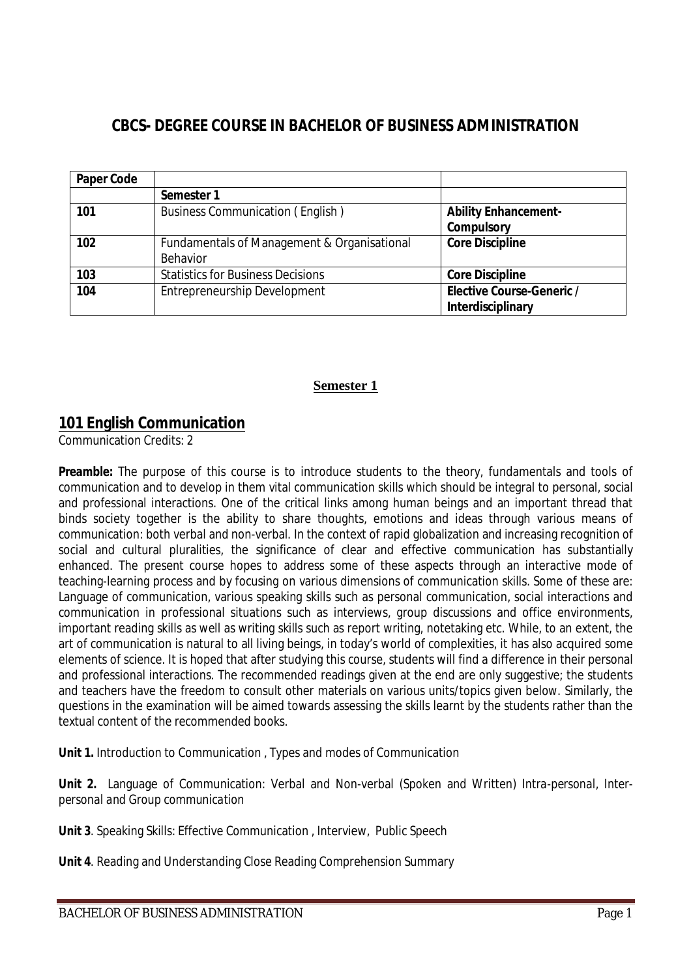# **CBCS- DEGREE COURSE IN BACHELOR OF BUSINESS ADMINISTRATION**

| <b>Paper Code</b> |                                             |                                  |
|-------------------|---------------------------------------------|----------------------------------|
|                   | Semester 1                                  |                                  |
| 101               | <b>Business Communication (English)</b>     | <b>Ability Enhancement-</b>      |
|                   |                                             | <b>Compulsory</b>                |
| 102               | Fundamentals of Management & Organisational | <b>Core Discipline</b>           |
|                   | Behavior                                    |                                  |
| 103               | <b>Statistics for Business Decisions</b>    | <b>Core Discipline</b>           |
| 104               | Entrepreneurship Development                | <b>Elective Course-Generic /</b> |
|                   |                                             | Interdisciplinary                |

### **Semester 1**

## **101 English Communication**

Communication Credits: 2

**Preamble:** The purpose of this course is to introduce students to the theory, fundamentals and tools of communication and to develop in them vital communication skills which should be integral to personal, social and professional interactions. One of the critical links among human beings and an important thread that binds society together is the ability to share thoughts, emotions and ideas through various means of communication: both verbal and non-verbal. In the context of rapid globalization and increasing recognition of social and cultural pluralities, the significance of clear and effective communication has substantially enhanced. The present course hopes to address some of these aspects through an interactive mode of teaching-learning process and by focusing on various dimensions of communication skills. Some of these are: Language of communication, various speaking skills such as personal communication, social interactions and communication in professional situations such as interviews, group discussions and office environments, important reading skills as well as writing skills such as report writing, notetaking etc. While, to an extent, the art of communication is natural to all living beings, in today's world of complexities, it has also acquired some elements of science. It is hoped that after studying this course, students will find a difference in their personal and professional interactions. The recommended readings given at the end are only suggestive; the students and teachers have the freedom to consult other materials on various units/topics given below. Similarly, the questions in the examination will be aimed towards assessing the skills learnt by the students rather than the textual content of the recommended books.

**Unit 1.** Introduction to Communication , Types and modes of Communication

**Unit 2.** Language of Communication: Verbal and Non-verbal (Spoken and Written) *Intra-personal, Interpersonal and Group communication* 

**Unit 3**. Speaking Skills: Effective Communication , Interview, Public Speech

**Unit 4**. Reading and Understanding Close Reading Comprehension Summary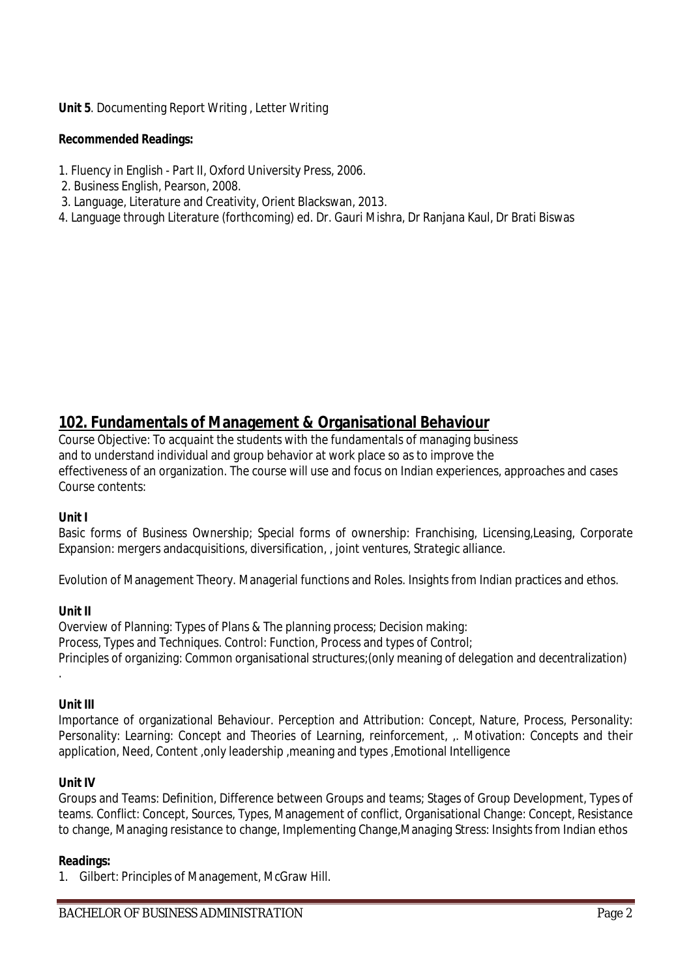**Unit 5**. Documenting Report Writing , Letter Writing

#### **Recommended Readings:**

- 1. Fluency in English Part II, Oxford University Press, 2006.
- 2. Business English, Pearson, 2008.
- 3. Language, Literature and Creativity, Orient Blackswan, 2013.
- 4. Language through Literature (forthcoming) ed. Dr. Gauri Mishra, Dr Ranjana Kaul, Dr Brati Biswas

# **102. Fundamentals of Management & Organisational Behaviour**

Course Objective: To acquaint the students with the fundamentals of managing business and to understand individual and group behavior at work place so as to improve the effectiveness of an organization. The course will use and focus on Indian experiences, approaches and cases Course contents:

#### **Unit I**

Basic forms of Business Ownership; Special forms of ownership: Franchising, Licensing,Leasing, Corporate Expansion: mergers andacquisitions, diversification, , joint ventures, Strategic alliance.

Evolution of Management Theory. Managerial functions and Roles. Insights from Indian practices and ethos.

#### **Unit II**

Overview of Planning: Types of Plans & The planning process; Decision making: Process, Types and Techniques. Control: Function, Process and types of Control; Principles of organizing: Common organisational structures;(only meaning of delegation and decentralization)

#### **Unit III**

.

Importance of organizational Behaviour. Perception and Attribution: Concept, Nature, Process, Personality: Personality: Learning: Concept and Theories of Learning, reinforcement, ,. Motivation: Concepts and their application, Need, Content ,only leadership ,meaning and types ,Emotional Intelligence

#### **Unit IV**

Groups and Teams: Definition, Difference between Groups and teams; Stages of Group Development, Types of teams. Conflict: Concept, Sources, Types, Management of conflict, Organisational Change: Concept, Resistance to change, Managing resistance to change, Implementing Change,Managing Stress: Insights from Indian ethos

#### **Readings:**

1. Gilbert: Principles of Management, McGraw Hill.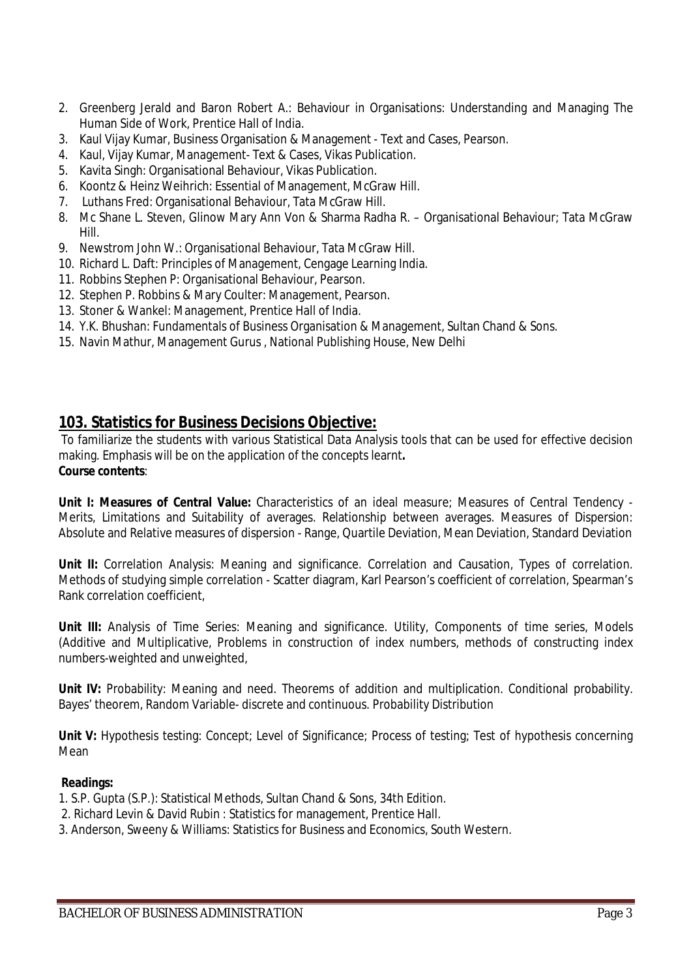- 2. Greenberg Jerald and Baron Robert A.: Behaviour in Organisations: Understanding and Managing The Human Side of Work, Prentice Hall of India.
- 3. Kaul Vijay Kumar, Business Organisation & Management Text and Cases, Pearson.
- 4. Kaul, Vijay Kumar, Management- Text & Cases, Vikas Publication.
- 5. Kavita Singh: Organisational Behaviour, Vikas Publication.
- 6. Koontz & Heinz Weihrich: Essential of Management, McGraw Hill.
- 7. Luthans Fred: Organisational Behaviour, Tata McGraw Hill.
- 8. Mc Shane L. Steven, Glinow Mary Ann Von & Sharma Radha R. Organisational Behaviour; Tata McGraw Hill.
- 9. Newstrom John W.: Organisational Behaviour, Tata McGraw Hill.
- 10. Richard L. Daft: Principles of Management, Cengage Learning India.
- 11. Robbins Stephen P: Organisational Behaviour, Pearson.
- 12. Stephen P. Robbins & Mary Coulter: Management, Pearson.
- 13. Stoner & Wankel: Management, Prentice Hall of India.
- 14. Y.K. Bhushan: Fundamentals of Business Organisation & Management, Sultan Chand & Sons.
- 15. Navin Mathur, Management Gurus , National Publishing House, New Delhi

## **103. Statistics for Business Decisions Objective:**

To familiarize the students with various Statistical Data Analysis tools that can be used for effective decision making. Emphasis will be on the application of the concepts learnt**. Course contents**:

**Unit I: Measures of Central Value:** Characteristics of an ideal measure; Measures of Central Tendency - Merits, Limitations and Suitability of averages. Relationship between averages. Measures of Dispersion: Absolute and Relative measures of dispersion - Range, Quartile Deviation, Mean Deviation, Standard Deviation

**Unit II:** Correlation Analysis: Meaning and significance. Correlation and Causation, Types of correlation. Methods of studying simple correlation - Scatter diagram, Karl Pearson's coefficient of correlation, Spearman's Rank correlation coefficient,

Unit III: Analysis of Time Series: Meaning and significance. Utility, Components of time series, Models (Additive and Multiplicative, Problems in construction of index numbers, methods of constructing index numbers-weighted and unweighted,

Unit IV: Probability: Meaning and need. Theorems of addition and multiplication. Conditional probability. Bayes' theorem, Random Variable- discrete and continuous. Probability Distribution

**Unit V:** Hypothesis testing: Concept; Level of Significance; Process of testing; Test of hypothesis concerning Mean

#### **Readings:**

- 1. S.P. Gupta (S.P.): Statistical Methods, Sultan Chand & Sons, 34th Edition.
- 2. Richard Levin & David Rubin : Statistics for management, Prentice Hall.
- 3. Anderson, Sweeny & Williams: Statistics for Business and Economics, South Western.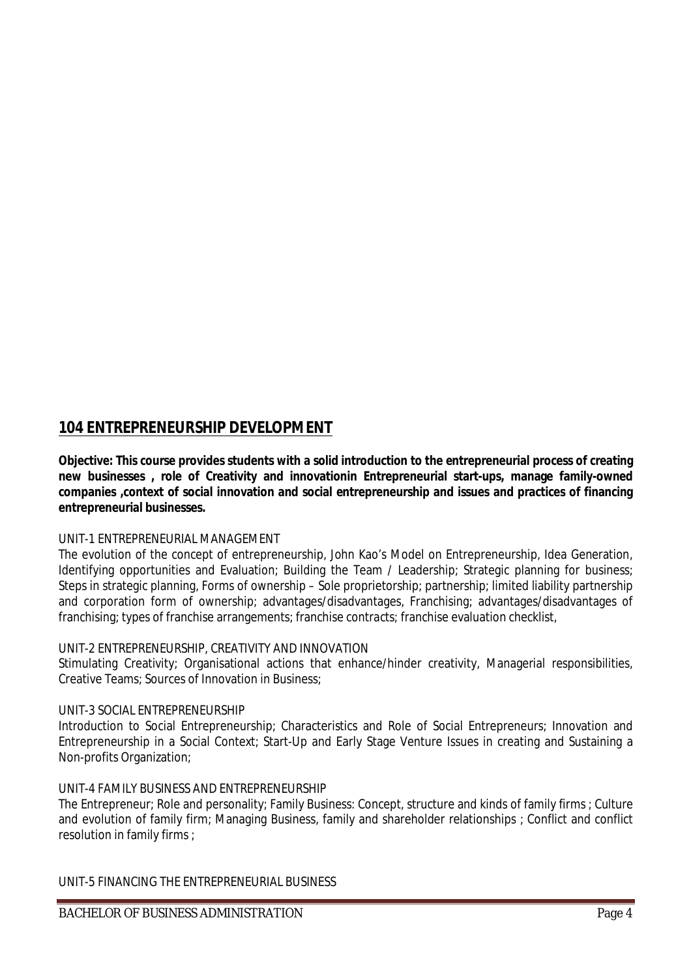# **104 ENTREPRENEURSHIP DEVELOPMENT**

**Objective: This course provides students with a solid introduction to the entrepreneurial process of creating new businesses , role of Creativity and innovationin Entrepreneurial start-ups, manage family-owned companies ,context of social innovation and social entrepreneurship and issues and practices of financing entrepreneurial businesses.**

### UNIT-1 ENTREPRENEURIAL MANAGEMENT

The evolution of the concept of entrepreneurship, John Kao's Model on Entrepreneurship, Idea Generation, Identifying opportunities and Evaluation; Building the Team / Leadership; Strategic planning for business; Steps in strategic planning, Forms of ownership – Sole proprietorship; partnership; limited liability partnership and corporation form of ownership; advantages/disadvantages, Franchising; advantages/disadvantages of franchising; types of franchise arrangements; franchise contracts; franchise evaluation checklist,

## UNIT-2 ENTREPRENEURSHIP, CREATIVITY AND INNOVATION

Stimulating Creativity; Organisational actions that enhance/hinder creativity, Managerial responsibilities, Creative Teams; Sources of Innovation in Business;

## UNIT-3 SOCIAL ENTREPRENEURSHIP

Introduction to Social Entrepreneurship; Characteristics and Role of Social Entrepreneurs; Innovation and Entrepreneurship in a Social Context; Start-Up and Early Stage Venture Issues in creating and Sustaining a Non-profits Organization;

### UNIT-4 FAMILY BUSINESS AND ENTREPRENEURSHIP

The Entrepreneur; Role and personality; Family Business: Concept, structure and kinds of family firms ; Culture and evolution of family firm; Managing Business, family and shareholder relationships ; Conflict and conflict resolution in family firms ;

UNIT-5 FINANCING THE ENTREPRENEURIAL BUSINESS